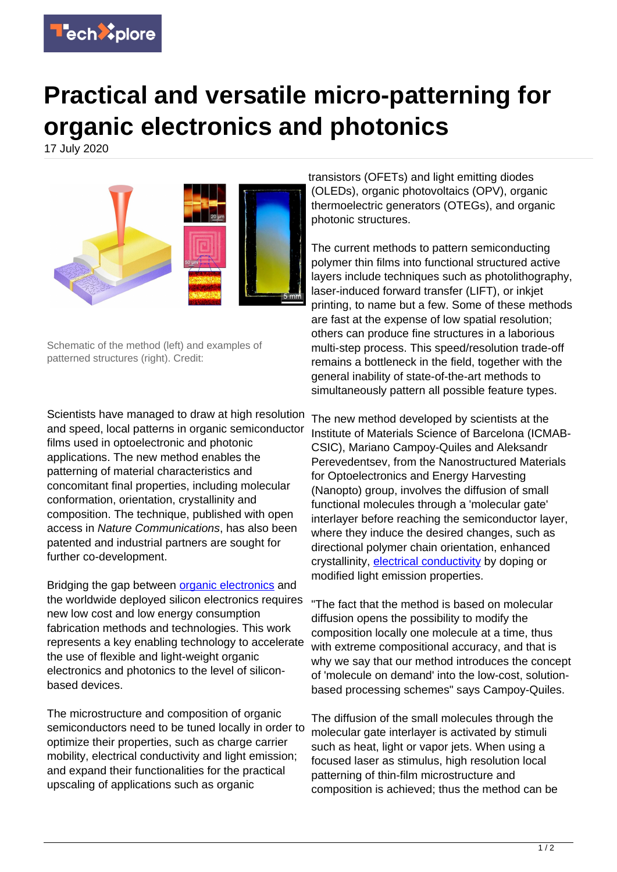

## **Practical and versatile micro-patterning for organic electronics and photonics**

17 July 2020



Schematic of the method (left) and examples of patterned structures (right). Credit:

Scientists have managed to draw at high resolution and speed, local patterns in organic semiconductor films used in optoelectronic and photonic applications. The new method enables the patterning of material characteristics and concomitant final properties, including molecular conformation, orientation, crystallinity and composition. The technique, published with open access in Nature Communications, has also been patented and industrial partners are sought for further co-development.

Bridging the gap between [organic electronics](https://techxplore.com/tags/organic+electronics/) and the worldwide deployed silicon electronics requires new low cost and low energy consumption fabrication methods and technologies. This work represents a key enabling technology to accelerate the use of flexible and light-weight organic electronics and photonics to the level of siliconbased devices.

The microstructure and composition of organic semiconductors need to be tuned locally in order to optimize their properties, such as charge carrier mobility, electrical conductivity and light emission; and expand their functionalities for the practical upscaling of applications such as organic

transistors (OFETs) and light emitting diodes (OLEDs), organic photovoltaics (OPV), organic thermoelectric generators (OTEGs), and organic photonic structures.

The current methods to pattern semiconducting polymer thin films into functional structured active layers include techniques such as photolithography, laser-induced forward transfer (LIFT), or inkjet printing, to name but a few. Some of these methods are fast at the expense of low spatial resolution; others can produce fine structures in a laborious multi-step process. This speed/resolution trade-off remains a bottleneck in the field, together with the general inability of state-of-the-art methods to simultaneously pattern all possible feature types.

The new method developed by scientists at the Institute of Materials Science of Barcelona (ICMAB-CSIC), Mariano Campoy-Quiles and Aleksandr Perevedentsev, from the Nanostructured Materials for Optoelectronics and Energy Harvesting (Nanopto) group, involves the diffusion of small functional molecules through a 'molecular gate' interlayer before reaching the semiconductor layer, where they induce the desired changes, such as directional polymer chain orientation, enhanced crystallinity, [electrical conductivity](https://techxplore.com/tags/electrical+conductivity/) by doping or modified light emission properties.

"The fact that the method is based on molecular diffusion opens the possibility to modify the composition locally one molecule at a time, thus with extreme compositional accuracy, and that is why we say that our method introduces the concept of 'molecule on demand' into the low-cost, solutionbased processing schemes" says Campoy-Quiles.

The diffusion of the small molecules through the molecular gate interlayer is activated by stimuli such as heat, light or vapor jets. When using a focused laser as stimulus, high resolution local patterning of thin-film microstructure and composition is achieved; thus the method can be